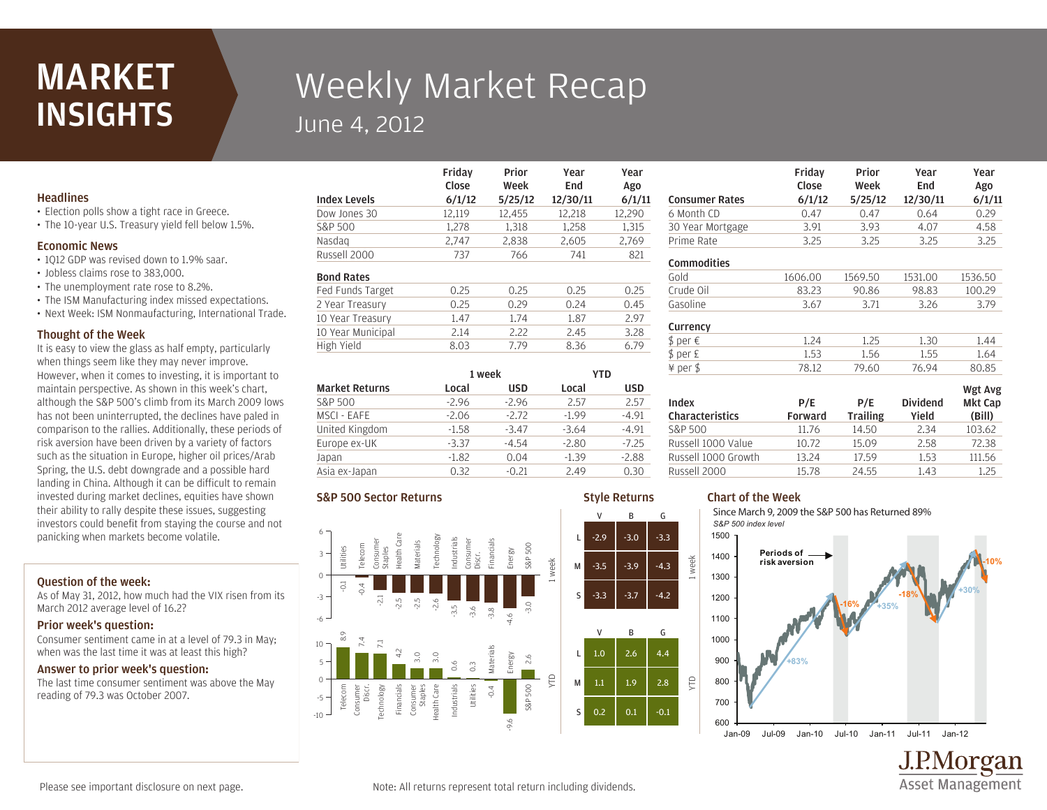## MARKET **INSIGHTS**

# Weekly Market Recap June 4, 2012

Friday

## **Headlines**

- Election polls show a tight race in Greece.
- The 10-year U.S. Treasury yield fell below 1.5%.

#### Economic News

- 1Q12 GDP was revised down to 1.9% saar.
- Jobless claims rose to 383,000.
- The unemployment rate rose to 8.2%.
- The ISM Manufacturing index missed expectations.
- Next Week: ISM Nonmaufacturing, International Trade.

#### Thought of the Week

It is easy to view the glass as half empty, particularly when things seem like they may never improve. However, when it comes to investing, it is important to maintain perspective. As shown in this week's chart, although the S&P 500's climb from its March 2009 lows has not been uninterrupted, the declines have paled in comparison to the rallies. Additionally, these periods of risk aversion have been driven by a variety of factors such as the situation in Europe, higher oil prices/Arab Spring, the U.S. debt downgrade and a possible hard landing in China. Although it can be difficult to remain invested during market declines, equities have shown their ability to rally despite these issues, suggesting investors could benefit from staying the course and not panicking when markets become volatile.

## Question of the week:

As of May 31, 2012, how much had the VIX risen from its March 2012 average level of 16.2?

#### Prior week's question:

Consumer sentiment came in at a level of 79.3 in May; when was the last time it was at least this high?

## Answer to prior week's question:

The last time consumer sentiment was above the May reading of 79.3 was October 2007.

| <b>Index Levels</b> | Close<br>6/1/12 | Week<br>5/25/12 | End<br>12/30/11 | Ago<br>6/1/11 |
|---------------------|-----------------|-----------------|-----------------|---------------|
| Dow Jones 30        | 12,119          | 12,455          | 12,218          | 12,290        |
| S&P 500             | 1.278           | 1,318           | 1,258           | 1,315         |
| Nasdag              | 2,747           | 2,838           | 2,605           | 2,769         |
| Russell 2000        | 737             | 766             | 741             | 821           |
| <b>Bond Rates</b>   |                 |                 |                 |               |
| Fed Funds Target    | 0.25            | 0.25            | 0.25            | 0.25          |
| 2 Year Treasury     | 0.25            | 0.29            | 0.24            | 0.45          |
| 10 Year Treasury    | 1.47            | 1.74            | 1.87            | 2.97          |
| 10 Year Municipal   | 2.14            | 2.22            | 2.45            | 3.28          |
| High Yield          | 8.03            | 7.79            | 8.36            | 6.79          |

Prior

Year

Year

Style Returns

V B G

V B G

|                       | 1 week  |            | YTD     |            |
|-----------------------|---------|------------|---------|------------|
| <b>Market Returns</b> | Local   | <b>USD</b> | Local   | <b>USD</b> |
| S&P 500               | $-2.96$ | $-2.96$    | 2.57    | 2.57       |
| MSCI - EAFE           | $-2.06$ | $-2.72$    | $-1.99$ | $-4.91$    |
| United Kingdom        | $-1.58$ | $-3.47$    | $-3.64$ | $-4.91$    |
| Europe ex-UK          | $-3.37$ | $-4.54$    | $-2.80$ | $-7.25$    |
| Japan                 | $-1.82$ | 0.04       | $-1.39$ | $-2.88$    |
| Asia ex-Japan         | 0.32    | $-0.21$    | 2.49    | 0.30       |

#### S&P 500 Sector Returns



| <b>Consumer Rates</b> | Friday<br>Close<br>6/1/12 | Prior<br>Week<br>5/25/12 | Year<br>End<br>12/30/11 | Year<br>Ago<br>6/1/11 |
|-----------------------|---------------------------|--------------------------|-------------------------|-----------------------|
| 6 Month CD            | 0.47                      | 0.47                     | 0.64                    | 0.29                  |
| 30 Year Mortgage      | 3.91                      | 3.93                     | 4.07                    | 4.58                  |
| Prime Rate            | 3.25                      | 3.25                     | 3.25                    | 3.25                  |
| <b>Commodities</b>    |                           |                          |                         |                       |
| Gold                  | 1606.00                   | 1569.50                  | 1531.00                 | 1536.50               |
| Crude Oil             | 83.23                     | 90.86                    | 98.83                   | 100.29                |
| Gasoline              | 3.67                      | 3.71                     | 3.26                    | 3.79                  |
| Currency              |                           |                          |                         |                       |
| \$ per €              | 1.24                      | 1.25                     | 1.30                    | 1.44                  |
| \$ per £              | 1.53                      | 1.56                     | 1.55                    | 1.64                  |

| Index<br><b>Characteristics</b> | P/E<br>Forward | P/E<br><b>Trailing</b> | <b>Dividend</b><br>Yield | Wgt Avg<br><b>Mkt Cap</b><br>(Bill) |
|---------------------------------|----------------|------------------------|--------------------------|-------------------------------------|
| S&P 500                         | 11.76          | 14.50                  | 2.34                     | 103.62                              |
| Russell 1000 Value              | 10.72          | 15.09                  | 2.58                     | 72.38                               |
| Russell 1000 Growth             | 13.24          | 17.59                  | 1.53                     | 111.56                              |
| Russell 2000                    | 15.78          | 24.55                  | 1.43                     | 1.25                                |

¥ per \$ 78.12 79.60 76.94 80.85

## Chart of the Week

week

YTD

Since March 9, 2009 the S&P 500 has Returned 89% *S&P 500 index level*



J.P.Morgan **Asset Management** 

Please see important disclosure on next page.